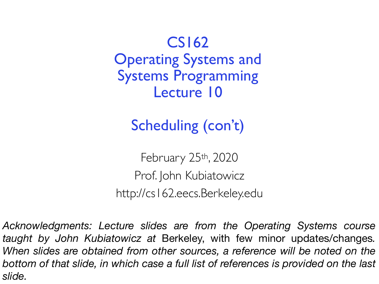CS162 Operating Systems and Systems Programming Lecture 10

Scheduling (con't)

February 25th, 2020 Prof. John Kubiatowicz http://cs162.eecs.Berkeley.edu

*Acknowledgments: Lecture slides are from the Operating Systems course taught by John Kubiatowicz at* Berkeley, with few minor updates/changes*. When slides are obtained from other sources, a reference will be noted on the bottom of that slide, in which case a full list of references is provided on the last slide.*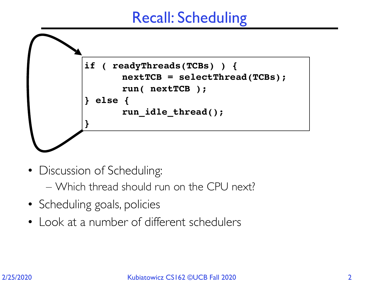### Recall: Scheduling



- Discussion of Scheduling:
	- Which thread should run on the CPU next?
- Scheduling goals, policies
- Look at a number of different schedulers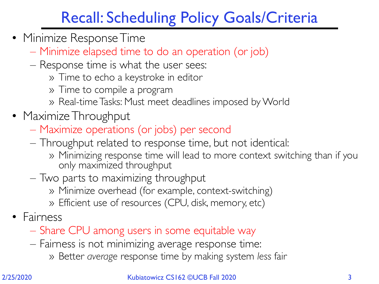### Recall: Scheduling Policy Goals/Criteria

- Minimize Response Time
	- Minimize elapsed time to do an operation (or job)
	- Response time is what the user sees:
		- » Time to echo a keystroke in editor
		- » Time to compile a program
		- » Real-time Tasks: Must meet deadlines imposed by World
- Maximize Throughput
	- Maximize operations (or jobs) per second
	- Throughput related to response time, but not identical:
		- » Minimizing response time will lead to more context switching than if you only maximized throughput
	- Two parts to maximizing throughput
		- » Minimize overhead (for example, context-switching)
		- » Efficient use of resources (CPU, disk, memory, etc)
- Fairness
	- Share CPU among users in some equitable way
	- Fairness is not minimizing average response time:
		- » Better *average* response time by making system *less* fair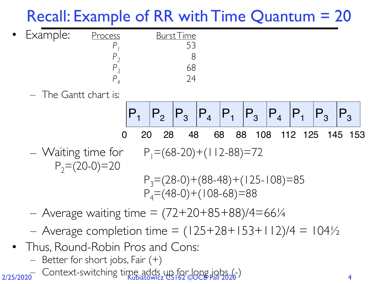## Recall: Example of RR with Time Quantum = 20

| Process  | <u>Burst Time</u> |
|----------|-------------------|
|          |                   |
|          |                   |
|          |                   |
|          |                   |
| Example: |                   |

– The Gantt chart is:



- Waiting time for  $P_1=(68-20)+(112-88)=72$  $P_2=(20-0)=20$  $P_3=(28-0)+(88-48)+(125-108)=85$  $P_4=(48-0)+(108-68)=88$
- Average waiting time  $= (72+20+85+88)/4=66/4$
- Average completion time =  $(125+28+153+112)/4 = 104\frac{1}{2}$
- Thus, Round-Robin Pros and Cons: Better for short jobs, Fair (+)
	-

2/25/2020 – Context-switching time adds up for long jobs (-)<br>4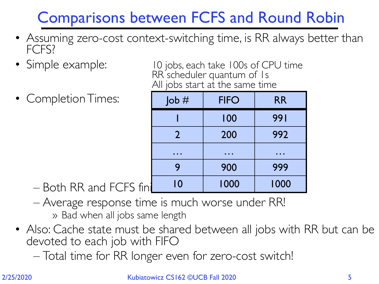## Comparisons between FCFS and Round Robin

- Assuming zero-cost context-switching time, is RR always better than FCFS?
- 
- Completion Times:

• Simple example: 10 jobs, each take 100s of CPU time RR<sup>'</sup>scheduler quantum of 1s All jobs start at the same time

| $\mathsf{Job}$ # | <b>FIFO</b> | <b>RR</b> |
|------------------|-------------|-----------|
|                  | 100         | 991       |
| $\mathbf{2}$     | 200         | 992       |
|                  |             |           |
| 9                | 900         | 999       |
| 10               | 1000        | 1000      |

- Both RR and FCFS fin
- Average response time is much worse under RR! » Bad when all jobs same length
- Also: Cache state must be shared between all jobs with RR but can be devoted to each job with FIFO
	- Total time for RR longer even for zero-cost switch!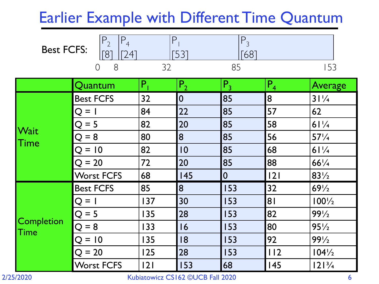### Earlier Example with Different Time Quantum

 $P_3$ 

| <b>Best FCFS:</b>    | $P_2$<br>$P_4$<br>241<br>[8] | $\mathsf{P}$ | [53]           | $P_3$<br>-681  |                |                  |
|----------------------|------------------------------|--------------|----------------|----------------|----------------|------------------|
|                      | 8<br>$\overline{O}$          | 32           |                | 85             |                | 153              |
|                      | Quantum                      | $P_{1}$      | P <sub>2</sub> | $P_3$          | P <sub>4</sub> | Average          |
| <b>Wait</b><br> Time | <b>Best FCFS</b>             | 32           | 0              | 85             | 8              | 31/4             |
|                      | O = 1                        | 84           | 22             | 85             | 57             | 62               |
|                      | $O = 5$                      | 82           | 20             | 85             | 58             | 61/4             |
|                      | $Q = 8$                      | 80           | 8              | 85             | 56             | $57\frac{1}{4}$  |
|                      | $Q = 10$                     | 82           | 10             | 85             | 68             | 61/4             |
|                      | $Q = 20$                     | 72           | 20             | 85             | 88             | $66^{1}/4$       |
|                      | <b>Worst FCFS</b>            | 68           | 145            | $\overline{0}$ | 2              | $83\frac{1}{2}$  |
| Completion<br>Time   | <b>Best FCFS</b>             | 85           | 8              | 153            | 32             | $69\frac{1}{2}$  |
|                      | Q = 1                        | 137          | 30             | 153            | 81             | $100\frac{1}{2}$ |
|                      | $Q = 5$                      | 135          | 28             | 153            | 82             | $99\frac{1}{2}$  |
|                      | $= 8$<br>O                   | 133          | 16             | 153            | 80             | $95\frac{1}{2}$  |
|                      | $Q = 10$                     | 135          | 18             | 153            | 92             | $99\frac{1}{2}$  |
|                      | $Q = 20$                     | 125          | 28             | 153            | 112            | $104\frac{1}{2}$ |
|                      | <b>Worst FCFS</b>            | 2            | 153            | 68             | 145            | $121\frac{3}{4}$ |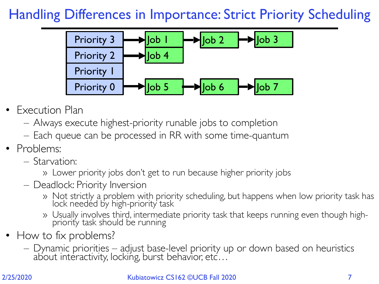#### Handling Differences in Importance: Strict Priority Scheduling



- Execution Plan
	- Always execute highest-priority runable jobs to completion
	- Each queue can be processed in RR with some time-quantum
- Problems:
	- Starvation:
		- » Lower priority jobs don't get to run because higher priority jobs
	- Deadlock: Priority Inversion
		- » Not strictly a problem with priority scheduling, but happens when low priority task has lock needed by high-priority task
		- » Usually involves third, intermediate priority task that keeps running even though highpriority task should be running
- How to fix problems?
	- Dynamic priorities adjust base-level priority up or down based on heuristics about interactivity, locking, burst behavior, etc $\ldots$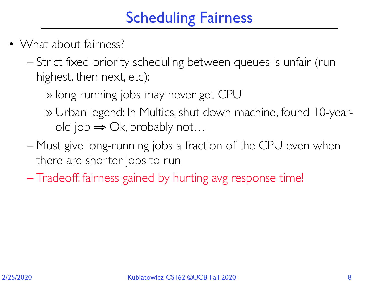## Scheduling Fairness

- What about fairness?
	- Strict fixed-priority scheduling between queues is unfair (run highest, then next, etc):
		- » long running jobs may never get CPU
		- » Urban legend: In Multics, shut down machine, found 10-yearold job  $\Rightarrow$  Ok, probably not...
	- Must give long-running jobs a fraction of the CPU even when there are shorter jobs to run
	- Tradeoff: fairness gained by hurting avg response time!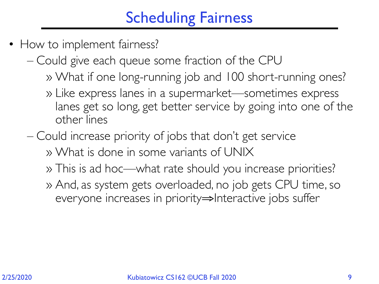## Scheduling Fairness

- How to implement fairness?
	- Could give each queue some fraction of the CPU
		- » What if one long-running job and 100 short-running ones?
		- » Like express lanes in a supermarket—sometimes express lanes get so long, get better service by going into one of the other lines
	- Could increase priority of jobs that don't get service
		- » What is done in some variants of UNIX
		- » This is ad hoc—what rate should you increase priorities?
		- » And, as system gets overloaded, no job gets CPU time, so everyone increases in priority⇒Interactive jobs suffer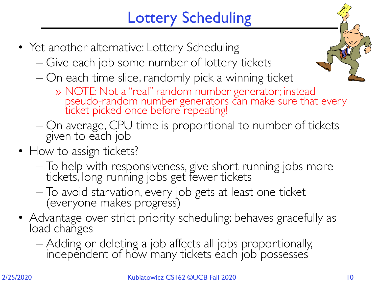# Lottery Scheduling

- Yet another alternative: Lottery Scheduling
	- Give each job some number of lottery tickets
	- On each time slice, randomly pick a winning ticket



- » NOTE: Not a "real" random number generator; instead pseudo-random number generators can make sure that every ticket picked once before repeating!
- On average, CPU time is proportional to number of tickets given to each job
- How to assign tickets?
	- To help with responsiveness, give short running jobs more tickets, long running jobs get fewer tickets
	- To avoid starvation, every job gets at least one ticket (everyone makes progress)
- Advantage over strict priority scheduling: behaves gracefully as load changes
	- Adding or deleting a job affects all jobs proportionally, independent of how many tickets each job possesses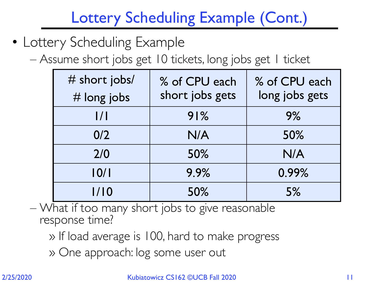## Lottery Scheduling Example (Cont.)

- Lottery Scheduling Example
	- Assume short jobs get 10 tickets, long jobs get 1 ticket

| # short jobs/<br># long jobs | % of CPU each<br>short jobs gets | % of CPU each<br>long jobs gets |
|------------------------------|----------------------------------|---------------------------------|
| 1/1                          | 91%                              | 9%                              |
| 0/2                          | N/A                              | 50%                             |
| 2/0                          | 50%                              | N/A                             |
| 10/1                         | 9.9%                             | 0.99%                           |
| 1/10                         | 50%                              | 5%                              |

– What if too many short jobs to give reasonable response time?

» If load average is 100, hard to make progress

» One approach: log some user out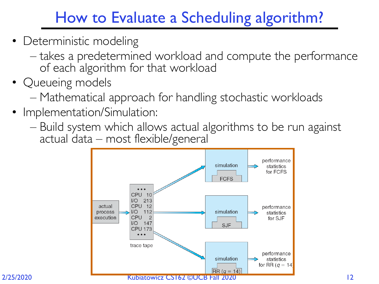## How to Evaluate a Scheduling algorithm?

- Deterministic modeling
	- takes a predetermined workload and compute the performance of each algorithm for that workload
- Queueing models
	- Mathematical approach for handling stochastic workloads
- Implementation/Simulation:
	- Build system which allows actual algorithms to be run against actual data – most flexible/general

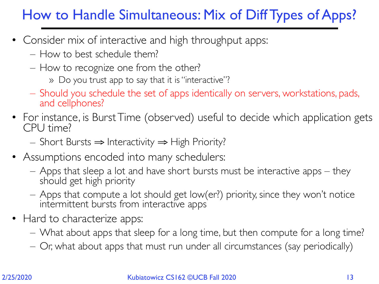#### How to Handle Simultaneous: Mix of Diff Types of Apps?

- Consider mix of interactive and high throughput apps:
	- How to best schedule them?
	- How to recognize one from the other?
		- » Do you trust app to say that it is "interactive"?
	- Should you schedule the set of apps identically on servers, workstations, pads, and cellphones?
- For instance, is Burst Time (observed) useful to decide which application gets CPU time?
	- Short Bursts ⇒ Interactivity ⇒ High Priority?
- Assumptions encoded into many schedulers:
	- Apps that sleep a lot and have short bursts must be interactive apps they should get high priority
	- Apps that compute a lot should get low(er?) priority, since they won't notice intermittent bursts from interactive apps
- Hard to characterize apps:
	- What about apps that sleep for a long time, but then compute for a long time?
	- Or, what about apps that must run under all circumstances (say periodically)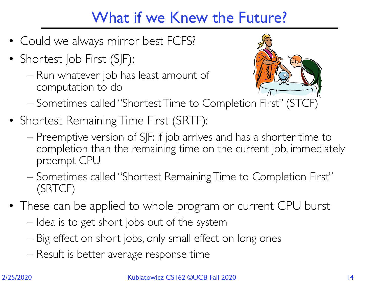## What if we Knew the Future?

- Could we always mirror best FCFS?
- Shortest Job First (SJF):
	- Run whatever job has least amount of computation to do



- Sometimes called "Shortest Time to Completion First" (STCF)
- Shortest Remaining Time First (SRTF):
	- Preemptive version of SJF: if job arrives and has a shorter time to completion than the remaining time on the current job, immediately preempt CPU
	- Sometimes called "Shortest Remaining Time to Completion First" (SRTCF)
- These can be applied to whole program or current CPU burst
	- Idea is to get short jobs out of the system
	- Big effect on short jobs, only small effect on long ones
	- Result is better average response time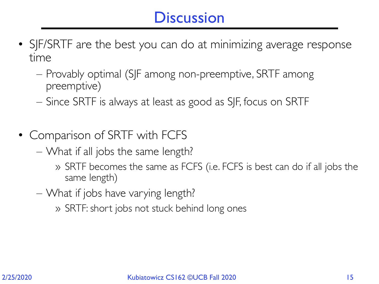### **Discussion**

- SJF/SRTF are the best you can do at minimizing average response time
	- Provably optimal (SJF among non-preemptive, SRTF among preemptive)
	- Since SRTF is always at least as good as SJF, focus on SRTF
- Comparison of SRTF with FCFS
	- What if all jobs the same length?
		- » SRTF becomes the same as FCFS (i.e. FCFS is best can do if all jobs the same length)
	- What if jobs have varying length?
		- » SRTF: short jobs not stuck behind long ones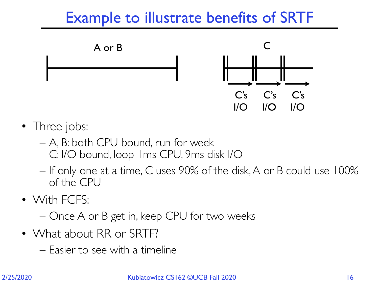### Example to illustrate benefits of SRTF



- Three jobs:
	- A, B: both CPU bound, run for week C: I/O bound, loop 1ms CPU, 9ms disk I/O
	- If only one at a time, C uses 90% of the disk, A or B could use 100% of the CPU
- With FCFS:

– Once A or B get in, keep CPU for two weeks

- What about RR or SRTF?
	- Easier to see with a timeline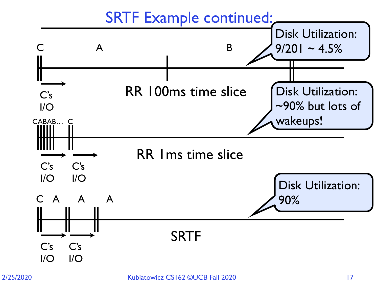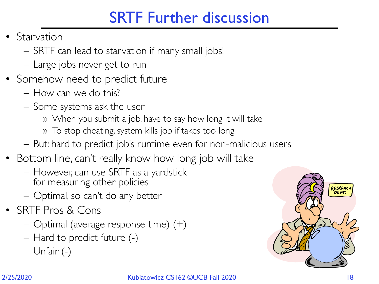### SRTF Further discussion

- **Starvation** 
	- SRTF can lead to starvation if many small jobs!
	- Large jobs never get to run
- Somehow need to predict future
	- How can we do this?
	- Some systems ask the user
		- » When you submit a job, have to say how long it will take
		- » To stop cheating, system kills job if takes too long
	- But: hard to predict job's runtime even for non-malicious users
- Bottom line, can't really know how long job will take
	- However, can use SRTF as a yardstick for measuring other policies
	- Optimal, so can't do any better
- SRTF Pros & Cons
	- Optimal (average response time) (+)
	- Hard to predict future (-)
	- Unfair (-)

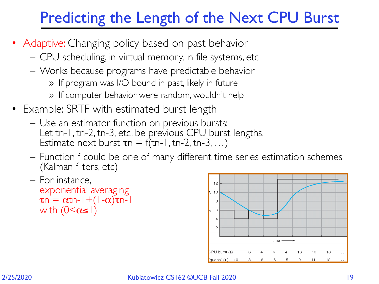### Predicting the Length of the Next CPU Burst

- Adaptive: Changing policy based on past behavior
	- CPU scheduling, in virtual memory, in file systems, etc
	- Works because programs have predictable behavior
		- » If program was I/O bound in past, likely in future
		- » If computer behavior were random, wouldn't help
- Example: SRTF with estimated burst length
	- Use an estimator function on previous bursts: Let tn-1, tn-2, tn-3, etc. be previous CPU burst lengths. Estimate next burst  $\tau n = f(tn-1, tn-2, tn-3,...)$
	- Function f could be one of many different time series estimation schemes (Kalman filters, etc)
	- For instance, exponential averaging  $\tau$ n =  $\alpha$ tn-1+(1- $\alpha$ ) $\tau$ n-1 with  $(0<\alpha\leq l)$

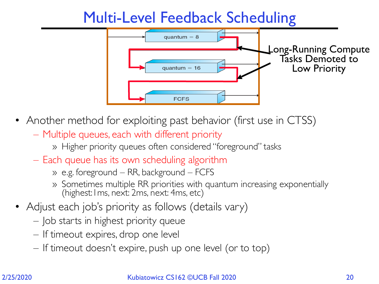### Multi-Level Feedback Scheduling



- Another method for exploiting past behavior (first use in CTSS)
	- Multiple queues, each with different priority
		- » Higher priority queues often considered "foreground" tasks
	- Each queue has its own scheduling algorithm
		- » e.g. foreground RR, background FCFS
		- » Sometimes multiple RR priorities with quantum increasing exponentially (highest:1ms, next: 2ms, next: 4ms, etc)
- Adjust each job's priority as follows (details vary)
	- Job starts in highest priority queue
	- If timeout expires, drop one level
	- If timeout doesn't expire, push up one level (or to top)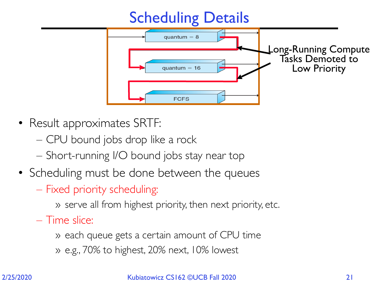

- Result approximates SRTF:
	- CPU bound jobs drop like a rock
	- Short-running I/O bound jobs stay near top
- Scheduling must be done between the queues
	- Fixed priority scheduling:
		- » serve all from highest priority, then next priority, etc.
	- Time slice:
		- » each queue gets a certain amount of CPU time
		- » e.g., 70% to highest, 20% next, 10% lowest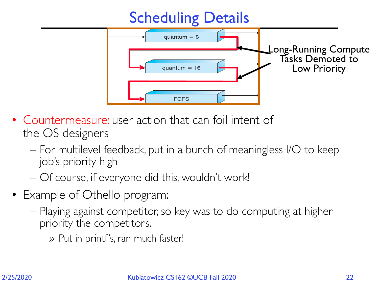

- Countermeasure: user action that can foil intent of the OS designers
	- For multilevel feedback, put in a bunch of meaningless I/O to keep job's priority high
	- Of course, if everyone did this, wouldn't work!
- Example of Othello program:
	- Playing against competitor, so key was to do computing at higher priority the competitors.
		- » Put in printf's, ran much faster!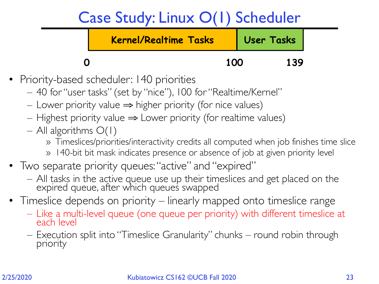### Case Study: Linux O(1) Scheduler



- Priority-based scheduler: 140 priorities
	- 40 for "user tasks" (set by "nice"), 100 for "Realtime/Kernel"
	- $−$  Lower priority value  $\Rightarrow$  higher priority (for nice values)
	- $-$  Highest priority value  $\Rightarrow$  Lower priority (for realtime values)
	- All algorithms  $O(1)$ 
		- » Timeslices/priorities/interactivity credits all computed when job finishes time slice
		- » 140-bit bit mask indicates presence or absence of job at given priority level
- Two separate priority queues: "active" and "expired"
	- All tasks in the active queue use up their timeslices and get placed on the expired queue, after which queues swapped
- Timeslice depends on priority linearly mapped onto timeslice range
	- Like a multi-level queue (one queue per priority) with different timeslice at each level
	- Execution split into "Timeslice Granularity" chunks round robin through priority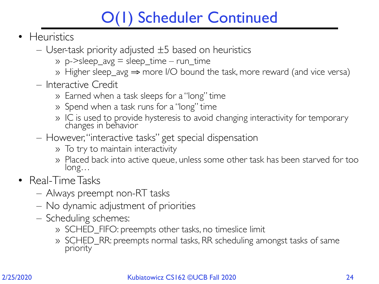## O(1) Scheduler Continued

- Heuristics
	- $-$  User-task priority adjusted  $\pm 5$  based on heuristics
		- » p->sleep\_avg = sleep\_time run\_time
		- » Higher sleep\_avg ⇒ more I/O bound the task, more reward (and vice versa)
	- Interactive Credit
		- » Earned when a task sleeps for a "long" time
		- » Spend when a task runs for a "long" time
		- » IC is used to provide hysteresis to avoid changing interactivity for temporary changes in behavior
	- However, "interactive tasks" get special dispensation
		- » To try to maintain interactivity
		- » Placed back into active queue, unless some other task has been starved for too long…
- Real-Time Tasks
	- Always preempt non-RT tasks
	- No dynamic adjustment of priorities
	- Scheduling schemes:
		- » SCHED\_FIFO: preempts other tasks, no timeslice limit
		- » SCHED\_RR: preempts normal tasks, RR scheduling amongst tasks of same priority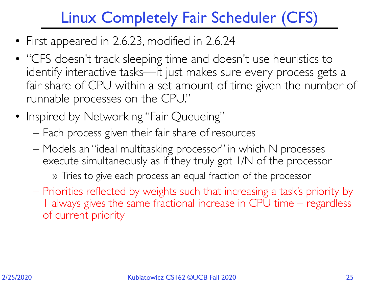## Linux Completely Fair Scheduler (CFS)

- First appeared in 2.6.23, modified in 2.6.24
- "CFS doesn't track sleeping time and doesn't use heuristics to identify interactive tasks—it just makes sure every process gets a fair share of CPU within a set amount of time given the number of runnable processes on the CPU."
- Inspired by Networking "Fair Queueing"
	- Each process given their fair share of resources
	- Models an "ideal multitasking processor" in which N processes execute simultaneously as if they truly got 1/N of the processor

» Tries to give each process an equal fraction of the processor

– Priorities reflected by weights such that increasing a task's priority by 1 always gives the same fractional increase in CPU time – regardless of current priority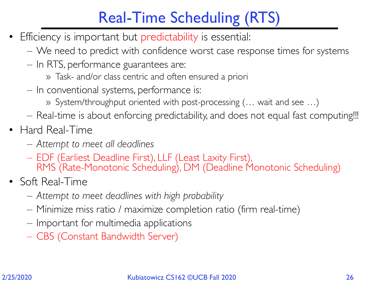## Real-Time Scheduling (RTS)

- Efficiency is important but predictability is essential:
	- We need to predict with confidence worst case response times for systems
	- In RTS, performance guarantees are:
		- » Task- and/or class centric and often ensured a priori
	- In conventional systems, performance is:
		- » System/throughput oriented with post-processing (… wait and see …)
	- Real-time is about enforcing predictability, and does not equal fast computing!!!
- Hard Real-Time
	- *– Attempt to meet all deadlines*
	- EDF (Earliest Deadline First), LLF (Least Laxity First), RMS (Rate-Monotonic Scheduling), DM (Deadline Monotonic Scheduling)
- Soft Real-Time
	- *– Attempt to meet deadlines with high probability*
	- Minimize miss ratio / maximize completion ratio (firm real-time)
	- Important for multimedia applications
	- CBS (Constant Bandwidth Server)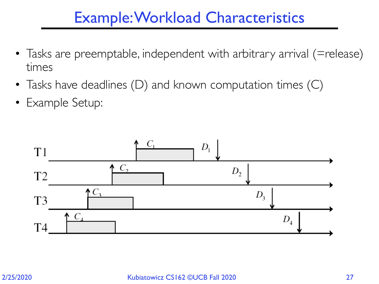### Example: Workload Characteristics

- Tasks are preemptable, independent with arbitrary arrival (=release) times
- Tasks have deadlines (D) and known computation times (C)
- Example Setup:

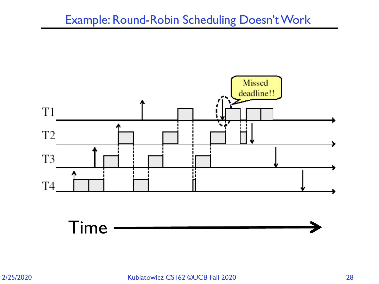#### Example: Round-Robin Scheduling Doesn't Work

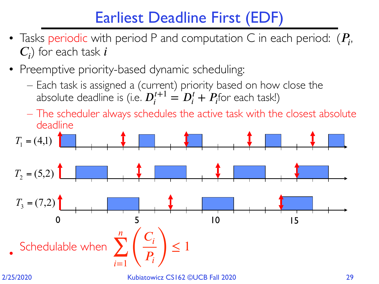## Earliest Deadline First (EDF)

- Tasks periodic with period P and computation C in each period:  $(P_i,$  $(C_i)$  for each task *i*
- Preemptive priority-based dynamic scheduling:
	- Each task is assigned a (current) priority based on how close the absolute deadline is (i.e.  $D_i^{t+1} = D_i^t + P_i$ for each task!)

– The scheduler always schedules the active task with the closest absolute deadline

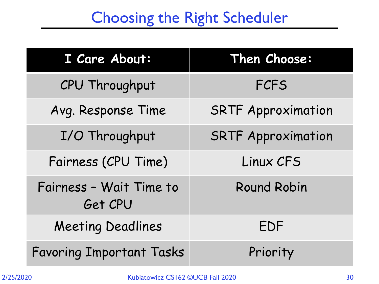### Choosing the Right Scheduler

| I Care About:                      | Then Choose:              |
|------------------------------------|---------------------------|
| CPU Throughput                     | <b>FCFS</b>               |
| Avg. Response Time                 | <b>SRTF Approximation</b> |
| I/O Throughput                     | <b>SRTF Approximation</b> |
| Fairness (CPU Time)                | Linux CFS                 |
| Fairness - Wait Time to<br>Get CPU | <b>Round Robin</b>        |
| <b>Meeting Deadlines</b>           | EDF                       |
| <b>Favoring Important Tasks</b>    | Priority                  |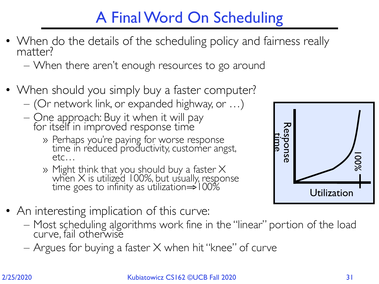### A Final Word On Scheduling

• When do the details of the scheduling policy and fairness really matter?

– When there aren't enough resources to go around

- When should you simply buy a faster computer?
	- (Or network link, or expanded highway, or …)
	- One approach: Buy it when it will pay for itself in improved response time
		- » Perhaps you're paying for worse response time in reduced productivity, customer angst, etc…
		- » Might think that you should buy a faster  $\times$ when  $\times$  is utilized 100%, but usually, response time goes to infinity as utilization⇒100%
- An interesting implication of this curve:
	- Most scheduling algorithms work fine in the "linear" portion of the load curve, fail otherwise
	- Argues for buying a faster  $X$  when hit "knee" of curve

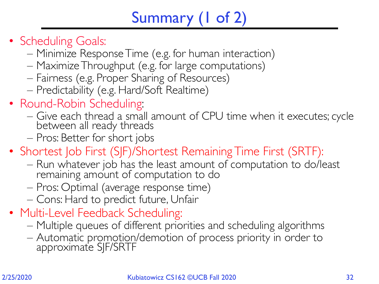## Summary (1 of 2)

- 
- Scheduling Goals:<br>
Minimize Response Time (e.g. for human interaction)
	- Maximize Throughput (e.g. for large computations)
	- Fairness (e.g. Proper Sharing of Resources)
	- Predictability (e.g. Hard/Soft Realtime)
- Round-Robin Scheduling:
	- Give each thread a small amount of CPU time when it executes; cycle between all ready threads
	- Pros: Better for short jobs
- Shortest Job First (SJF)/Shortest Remaining Time First (SRTF):
	- Run whatever job has the least amount of computation to do/least remaining amount of computation to do
	- Pros: Optimal (average response time)
	- Cons: Hard to predict future, Unfair
- 
- Multi-Level Feedback Scheduling:<br>— Multiple queues of different priorities and scheduling algorithms
	- Automatic promotion/demotion of process priority in order to approximate SJF/SRTF